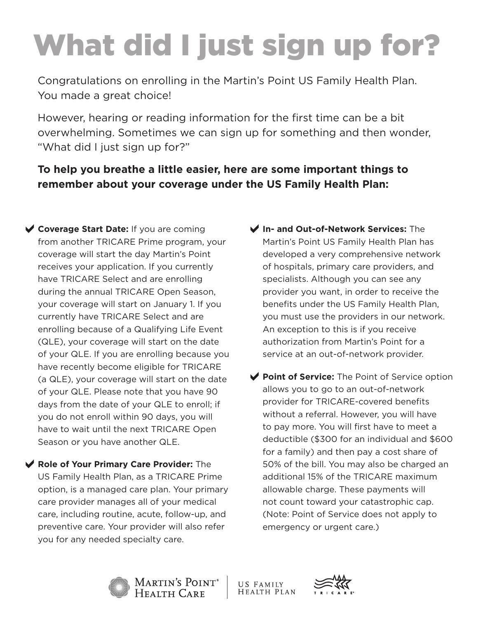## What did I just sign up for?

Congratulations on enrolling in the Martin's Point US Family Health Plan. You made a great choice!

However, hearing or reading information for the first time can be a bit overwhelming. Sometimes we can sign up for something and then wonder, "What did I just sign up for?"

## **To help you breathe a little easier, here are some important things to remember about your coverage under the US Family Health Plan:**

- **Coverage Start Date:** If you are coming from another TRICARE Prime program, your coverage will start the day Martin's Point receives your application. If you currently have TRICARE Select and are enrolling during the annual TRICARE Open Season, your coverage will start on January 1. If you currently have TRICARE Select and are enrolling because of a Qualifying Life Event (QLE), your coverage will start on the date of your QLE. If you are enrolling because you have recently become eligible for TRICARE (a QLE), your coverage will start on the date of your QLE. Please note that you have 90 days from the date of your QLE to enroll; if you do not enroll within 90 days, you will have to wait until the next TRICARE Open Season or you have another QLE.
- a**Role of Your Primary Care Provider:** The US Family Health Plan, as a TRICARE Prime option, is a managed care plan. Your primary care provider manages all of your medical care, including routine, acute, follow-up, and preventive care. Your provider will also refer you for any needed specialty care.
- a**In- and Out-of-Network Services:** The Martin's Point US Family Health Plan has developed a very comprehensive network of hospitals, primary care providers, and specialists. Although you can see any provider you want, in order to receive the benefits under the US Family Health Plan, you must use the providers in our network. An exception to this is if you receive authorization from Martin's Point for a service at an out-of-network provider.
- ◆ Point of Service: The Point of Service option allows you to go to an out-of-network provider for TRICARE-covered benefits without a referral. However, you will have to pay more. You will first have to meet a deductible (\$300 for an individual and \$600 for a family) and then pay a cost share of 50% of the bill. You may also be charged an additional 15% of the TRICARE maximum allowable charge. These payments will not count toward your catastrophic cap. (Note: Point of Service does not apply to emergency or urgent care.)



Martin's Point®<br>Health Care

US FAMILY **HEALTH PLAN**